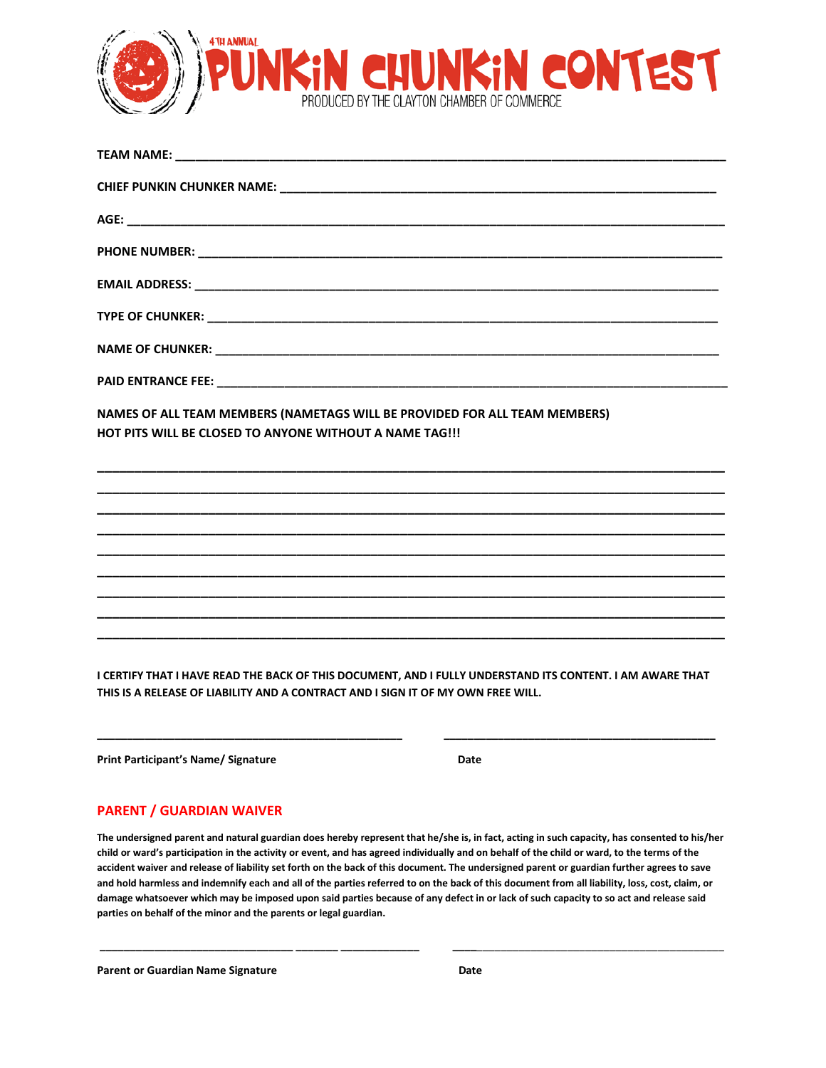

| NAMES OF ALL TEAM MEMBERS (NAMETAGS WILL BE PROVIDED FOR ALL TEAM MEMBERS)<br>HOT PITS WILL BE CLOSED TO ANYONE WITHOUT A NAME TAG !!! |  |
|----------------------------------------------------------------------------------------------------------------------------------------|--|
|                                                                                                                                        |  |
|                                                                                                                                        |  |
|                                                                                                                                        |  |
|                                                                                                                                        |  |
|                                                                                                                                        |  |

**I CERTIFY THAT I HAVE READ THE BACK OF THIS DOCUMENT, AND I FULLY UNDERSTAND ITS CONTENT. I AM AWARE THAT THIS IS A RELEASE OF LIABILITY AND A CONTRACT AND I SIGN IT OF MY OWN FREE WILL.** 

**Print Participant's Name/ Signature**

**\_\_\_\_\_\_\_\_\_\_\_\_\_\_\_\_\_\_\_\_\_\_\_\_\_\_\_\_\_\_\_\_\_\_\_\_\_\_\_\_\_\_\_\_\_\_\_\_\_\_\_** 

 **Date** 

 **\_\_\_\_\_\_\_\_\_\_\_\_\_\_\_\_\_\_\_\_\_\_\_\_\_\_\_\_\_\_\_\_\_\_\_\_\_\_\_\_\_\_\_\_\_**

## **PARENT / GUARDIAN WAIVER**

**The undersigned parent and natural guardian does hereby represent that he/she is, in fact, acting in such capacity, has consented to his/her child or ward's participation in the activity or event, and has agreed individually and on behalf of the child or ward, to the terms of the accident waiver and release of liability set forth on the back of this document. The undersigned parent or guardian further agrees to save and hold harmless and indemnify each and all of the parties referred to on the back of this document from all liability, loss, cost, claim, or damage whatsoever which may be imposed upon said parties because of any defect in or lack of such capacity to so act and release said parties on behalf of the minor and the parents or legal guardian.** 

**\_\_\_\_\_\_\_\_\_\_\_\_\_\_\_\_\_\_\_\_\_\_\_\_\_\_\_\_\_\_\_\_ \_\_\_\_\_\_\_ \_\_\_\_\_\_\_\_\_\_\_\_\_ \_\_\_\_**\_\_\_\_\_\_\_\_\_\_\_\_\_\_\_\_\_\_\_\_\_\_\_\_\_\_\_\_\_\_\_\_\_\_\_\_\_\_\_\_\_

Parent or Guardian Name Signature **Date is a struck of the Case of Case** Date